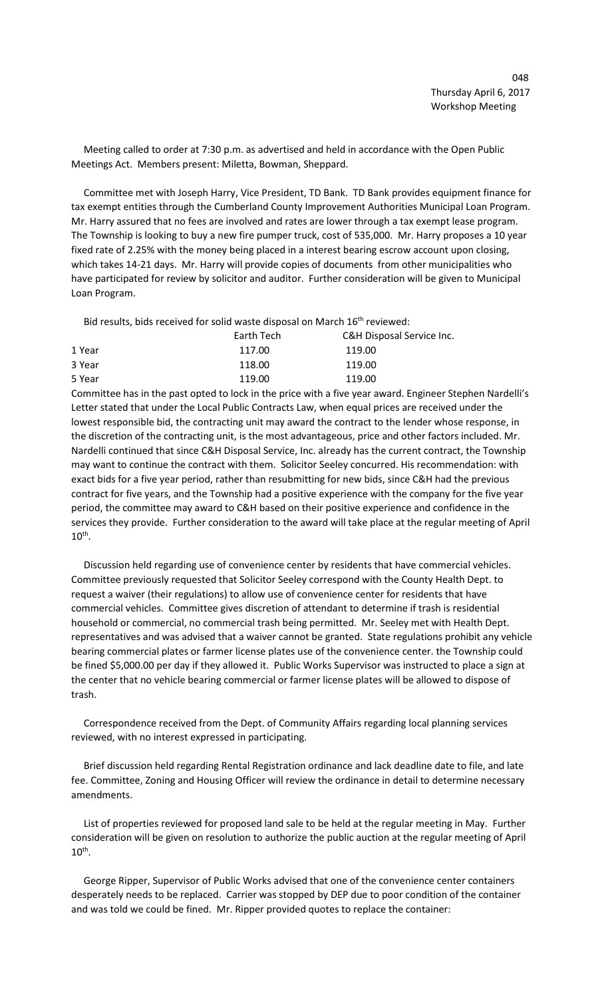Meeting called to order at 7:30 p.m. as advertised and held in accordance with the Open Public Meetings Act. Members present: Miletta, Bowman, Sheppard.

 Committee met with Joseph Harry, Vice President, TD Bank. TD Bank provides equipment finance for tax exempt entities through the Cumberland County Improvement Authorities Municipal Loan Program. Mr. Harry assured that no fees are involved and rates are lower through a tax exempt lease program. The Township is looking to buy a new fire pumper truck, cost of 535,000. Mr. Harry proposes a 10 year fixed rate of 2.25% with the money being placed in a interest bearing escrow account upon closing, which takes 14-21 days. Mr. Harry will provide copies of documents from other municipalities who have participated for review by solicitor and auditor. Further consideration will be given to Municipal Loan Program.

Bid results, bids received for solid waste disposal on March 16<sup>th</sup> reviewed:

| Earth Tech | C&H Disposal Service Inc. |
|------------|---------------------------|
| 117.00     | 119.00                    |
| 118.00     | 119.00                    |
| 119.00     | 119.00                    |
|            |                           |

Committee has in the past opted to lock in the price with a five year award. Engineer Stephen Nardelli's Letter stated that under the Local Public Contracts Law, when equal prices are received under the lowest responsible bid, the contracting unit may award the contract to the lender whose response, in the discretion of the contracting unit, is the most advantageous, price and other factors included. Mr. Nardelli continued that since C&H Disposal Service, Inc. already has the current contract, the Township may want to continue the contract with them. Solicitor Seeley concurred. His recommendation: with exact bids for a five year period, rather than resubmitting for new bids, since C&H had the previous contract for five years, and the Township had a positive experience with the company for the five year period, the committee may award to C&H based on their positive experience and confidence in the services they provide. Further consideration to the award will take place at the regular meeting of April  $10^{\text{th}}$ .

 Discussion held regarding use of convenience center by residents that have commercial vehicles. Committee previously requested that Solicitor Seeley correspond with the County Health Dept. to request a waiver (their regulations) to allow use of convenience center for residents that have commercial vehicles. Committee gives discretion of attendant to determine if trash is residential household or commercial, no commercial trash being permitted. Mr. Seeley met with Health Dept. representatives and was advised that a waiver cannot be granted. State regulations prohibit any vehicle bearing commercial plates or farmer license plates use of the convenience center. the Township could be fined \$5,000.00 per day if they allowed it. Public Works Supervisor was instructed to place a sign at the center that no vehicle bearing commercial or farmer license plates will be allowed to dispose of trash.

 Correspondence received from the Dept. of Community Affairs regarding local planning services reviewed, with no interest expressed in participating.

 Brief discussion held regarding Rental Registration ordinance and lack deadline date to file, and late fee. Committee, Zoning and Housing Officer will review the ordinance in detail to determine necessary amendments.

 List of properties reviewed for proposed land sale to be held at the regular meeting in May. Further consideration will be given on resolution to authorize the public auction at the regular meeting of April  $10^{\text{th}}$ .

 George Ripper, Supervisor of Public Works advised that one of the convenience center containers desperately needs to be replaced. Carrier was stopped by DEP due to poor condition of the container and was told we could be fined. Mr. Ripper provided quotes to replace the container: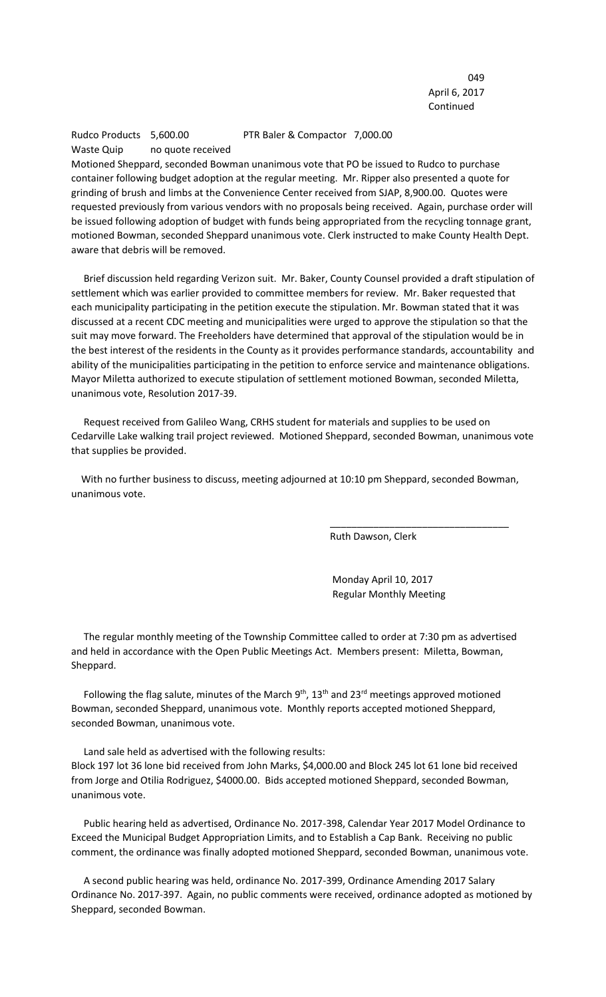049 April 6, 2017 Continued

## Rudco Products 5,600.00 PTR Baler & Compactor 7,000.00 Waste Quip no quote received

Motioned Sheppard, seconded Bowman unanimous vote that PO be issued to Rudco to purchase container following budget adoption at the regular meeting. Mr. Ripper also presented a quote for grinding of brush and limbs at the Convenience Center received from SJAP, 8,900.00. Quotes were requested previously from various vendors with no proposals being received. Again, purchase order will be issued following adoption of budget with funds being appropriated from the recycling tonnage grant, motioned Bowman, seconded Sheppard unanimous vote. Clerk instructed to make County Health Dept. aware that debris will be removed.

 Brief discussion held regarding Verizon suit. Mr. Baker, County Counsel provided a draft stipulation of settlement which was earlier provided to committee members for review. Mr. Baker requested that each municipality participating in the petition execute the stipulation. Mr. Bowman stated that it was discussed at a recent CDC meeting and municipalities were urged to approve the stipulation so that the suit may move forward. The Freeholders have determined that approval of the stipulation would be in the best interest of the residents in the County as it provides performance standards, accountability and ability of the municipalities participating in the petition to enforce service and maintenance obligations. Mayor Miletta authorized to execute stipulation of settlement motioned Bowman, seconded Miletta, unanimous vote, Resolution 2017-39.

 Request received from Galileo Wang, CRHS student for materials and supplies to be used on Cedarville Lake walking trail project reviewed. Motioned Sheppard, seconded Bowman, unanimous vote that supplies be provided.

 With no further business to discuss, meeting adjourned at 10:10 pm Sheppard, seconded Bowman, unanimous vote.

 $\overline{\phantom{a}}$  , and the contract of the contract of the contract of the contract of the contract of the contract of the contract of the contract of the contract of the contract of the contract of the contract of the contrac

Ruth Dawson, Clerk

 Monday April 10, 2017 Regular Monthly Meeting

 The regular monthly meeting of the Township Committee called to order at 7:30 pm as advertised and held in accordance with the Open Public Meetings Act. Members present: Miletta, Bowman, Sheppard.

Following the flag salute, minutes of the March  $9<sup>th</sup>$ , 13<sup>th</sup> and 23<sup>rd</sup> meetings approved motioned Bowman, seconded Sheppard, unanimous vote. Monthly reports accepted motioned Sheppard, seconded Bowman, unanimous vote.

 Land sale held as advertised with the following results: Block 197 lot 36 lone bid received from John Marks, \$4,000.00 and Block 245 lot 61 lone bid received from Jorge and Otilia Rodriguez, \$4000.00. Bids accepted motioned Sheppard, seconded Bowman, unanimous vote.

 Public hearing held as advertised, Ordinance No. 2017-398, Calendar Year 2017 Model Ordinance to Exceed the Municipal Budget Appropriation Limits, and to Establish a Cap Bank. Receiving no public comment, the ordinance was finally adopted motioned Sheppard, seconded Bowman, unanimous vote.

 A second public hearing was held, ordinance No. 2017-399, Ordinance Amending 2017 Salary Ordinance No. 2017-397. Again, no public comments were received, ordinance adopted as motioned by Sheppard, seconded Bowman.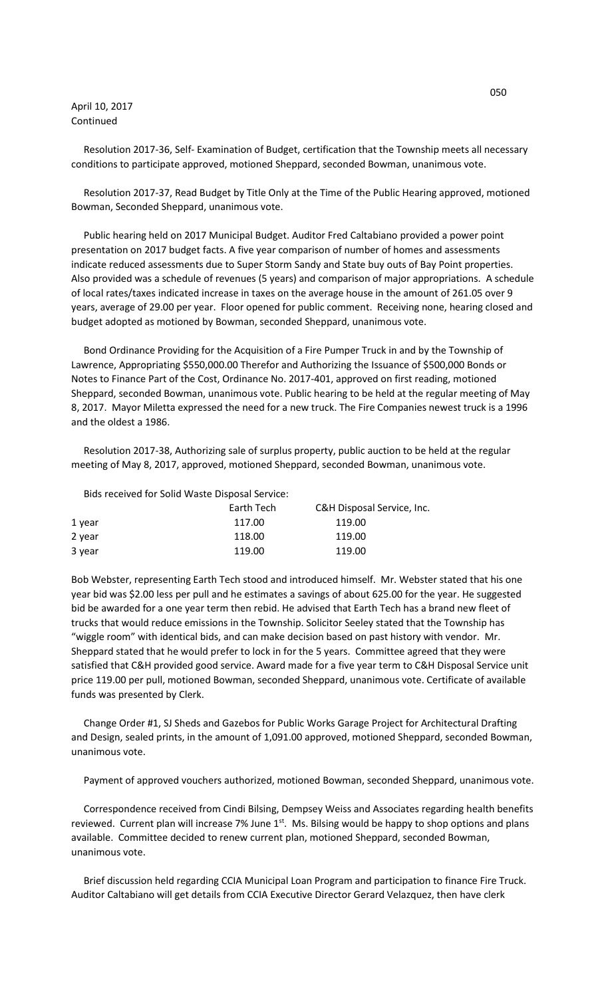## April 10, 2017 Continued

 Resolution 2017-36, Self- Examination of Budget, certification that the Township meets all necessary conditions to participate approved, motioned Sheppard, seconded Bowman, unanimous vote.

 Resolution 2017-37, Read Budget by Title Only at the Time of the Public Hearing approved, motioned Bowman, Seconded Sheppard, unanimous vote.

 Public hearing held on 2017 Municipal Budget. Auditor Fred Caltabiano provided a power point presentation on 2017 budget facts. A five year comparison of number of homes and assessments indicate reduced assessments due to Super Storm Sandy and State buy outs of Bay Point properties. Also provided was a schedule of revenues (5 years) and comparison of major appropriations. A schedule of local rates/taxes indicated increase in taxes on the average house in the amount of 261.05 over 9 years, average of 29.00 per year. Floor opened for public comment. Receiving none, hearing closed and budget adopted as motioned by Bowman, seconded Sheppard, unanimous vote.

 Bond Ordinance Providing for the Acquisition of a Fire Pumper Truck in and by the Township of Lawrence, Appropriating \$550,000.00 Therefor and Authorizing the Issuance of \$500,000 Bonds or Notes to Finance Part of the Cost, Ordinance No. 2017-401, approved on first reading, motioned Sheppard, seconded Bowman, unanimous vote. Public hearing to be held at the regular meeting of May 8, 2017. Mayor Miletta expressed the need for a new truck. The Fire Companies newest truck is a 1996 and the oldest a 1986.

 Resolution 2017-38, Authorizing sale of surplus property, public auction to be held at the regular meeting of May 8, 2017, approved, motioned Sheppard, seconded Bowman, unanimous vote.

Bids received for Solid Waste Disposal Service:

| Earth Tech | C&H Disposal Service, Inc. |
|------------|----------------------------|
| 117.00     | 119.00                     |
| 118.00     | 119.00                     |
| 119.00     | 119.00                     |
|            |                            |

Bob Webster, representing Earth Tech stood and introduced himself. Mr. Webster stated that his one year bid was \$2.00 less per pull and he estimates a savings of about 625.00 for the year. He suggested bid be awarded for a one year term then rebid. He advised that Earth Tech has a brand new fleet of trucks that would reduce emissions in the Township. Solicitor Seeley stated that the Township has "wiggle room" with identical bids, and can make decision based on past history with vendor. Mr. Sheppard stated that he would prefer to lock in for the 5 years. Committee agreed that they were satisfied that C&H provided good service. Award made for a five year term to C&H Disposal Service unit price 119.00 per pull, motioned Bowman, seconded Sheppard, unanimous vote. Certificate of available funds was presented by Clerk.

 Change Order #1, SJ Sheds and Gazebos for Public Works Garage Project for Architectural Drafting and Design, sealed prints, in the amount of 1,091.00 approved, motioned Sheppard, seconded Bowman, unanimous vote.

Payment of approved vouchers authorized, motioned Bowman, seconded Sheppard, unanimous vote.

 Correspondence received from Cindi Bilsing, Dempsey Weiss and Associates regarding health benefits reviewed. Current plan will increase 7% June  $1<sup>st</sup>$ . Ms. Bilsing would be happy to shop options and plans available. Committee decided to renew current plan, motioned Sheppard, seconded Bowman, unanimous vote.

 Brief discussion held regarding CCIA Municipal Loan Program and participation to finance Fire Truck. Auditor Caltabiano will get details from CCIA Executive Director Gerard Velazquez, then have clerk